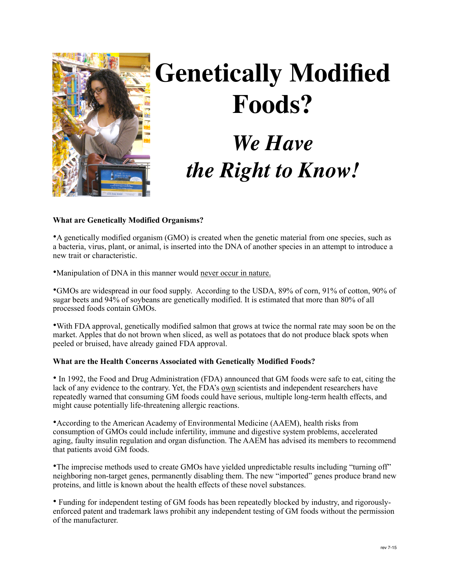

# **Genetically Modified Foods?** *We Have the Right to Know!*

# **What are Genetically Modified Organisms?**

•A genetically modified organism (GMO) is created when the genetic material from one species, such as a bacteria, virus, plant, or animal, is inserted into the DNA of another species in an attempt to introduce a new trait or characteristic.

•Manipulation of DNA in this manner would never occur in nature.

•GMOs are widespread in our food supply. According to the USDA, 89% of corn, 91% of cotton, 90% of sugar beets and 94% of soybeans are genetically modified. It is estimated that more than 80% of all processed foods contain GMOs.

•With FDA approval, genetically modified salmon that grows at twice the normal rate may soon be on the market. Apples that do not brown when sliced, as well as potatoes that do not produce black spots when peeled or bruised, have already gained FDA approval.

## **What are the Health Concerns Associated with Genetically Modified Foods?**

• In 1992, the Food and Drug Administration (FDA) announced that GM foods were safe to eat, citing the lack of any evidence to the contrary. Yet, the FDA's own scientists and independent researchers have repeatedly warned that consuming GM foods could have serious, multiple long-term health effects, and might cause potentially life-threatening allergic reactions.

•According to the American Academy of Environmental Medicine (AAEM), health risks from consumption of GMOs could include infertility, immune and digestive system problems, accelerated aging, faulty insulin regulation and organ disfunction. The AAEM has advised its members to recommend that patients avoid GM foods.

•The imprecise methods used to create GMOs have yielded unpredictable results including "turning off" neighboring non-target genes, permanently disabling them. The new "imported" genes produce brand new proteins, and little is known about the health effects of these novel substances.

• Funding for independent testing of GM foods has been repeatedly blocked by industry, and rigorouslyenforced patent and trademark laws prohibit any independent testing of GM foods without the permission of the manufacturer.